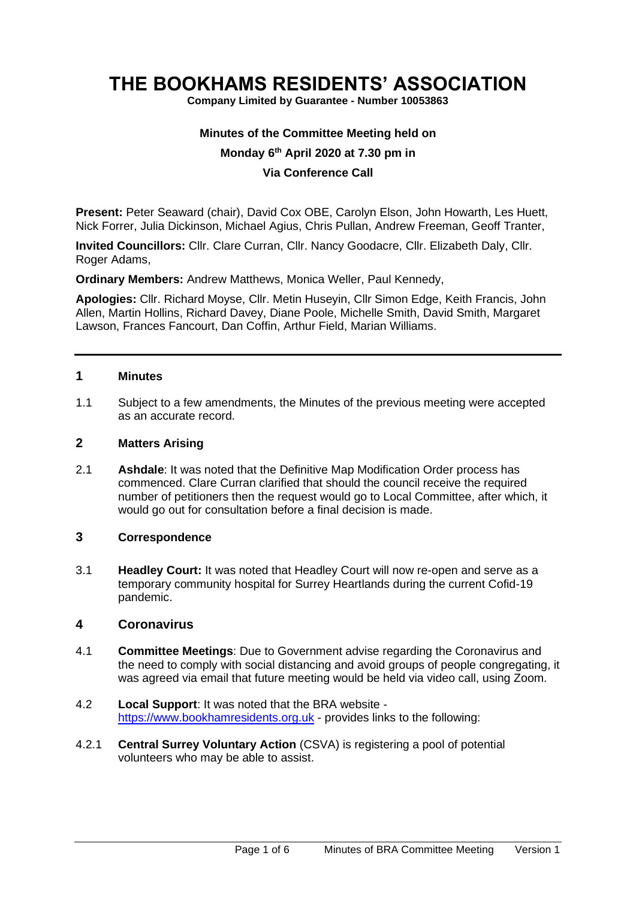# **THE BOOKHAMS RESIDENTS' ASSOCIATION**

**Company Limited by Guarantee - Number 10053863**

#### **Minutes of the Committee Meeting held on**

## **Monday 6 th April 2020 at 7.30 pm in**

## **Via Conference Call**

**Present:** Peter Seaward (chair), David Cox OBE, Carolyn Elson, John Howarth, Les Huett, Nick Forrer, Julia Dickinson, Michael Agius, Chris Pullan, Andrew Freeman, Geoff Tranter,

**Invited Councillors:** Cllr. Clare Curran, Cllr. Nancy Goodacre, Cllr. Elizabeth Daly, Cllr. Roger Adams,

**Ordinary Members:** Andrew Matthews, Monica Weller, Paul Kennedy,

**Apologies:** Cllr. Richard Moyse, Cllr. Metin Huseyin, Cllr Simon Edge, Keith Francis, John Allen, Martin Hollins, Richard Davey, Diane Poole, Michelle Smith, David Smith, Margaret Lawson, Frances Fancourt, Dan Coffin, Arthur Field, Marian Williams.

#### **1 Minutes**

1.1 Subject to a few amendments, the Minutes of the previous meeting were accepted as an accurate record.

# **2 Matters Arising**

2.1 **Ashdale**: It was noted that the Definitive Map Modification Order process has commenced. Clare Curran clarified that should the council receive the required number of petitioners then the request would go to Local Committee, after which, it would go out for consultation before a final decision is made.

## **3 Correspondence**

3.1 **Headley Court:** It was noted that Headley Court will now re-open and serve as a temporary community hospital for Surrey Heartlands during the current Cofid-19 pandemic.

# **4 Coronavirus**

- 4.1 **Committee Meetings**: Due to Government advise regarding the Coronavirus and the need to comply with social distancing and avoid groups of people congregating, it was agreed via email that future meeting would be held via video call, using Zoom.
- 4.2 **Local Support**: It was noted that the BRA website [https://www.bookhamresidents.org.uk](https://www.bookhamresidents.org.uk/) - provides links to the following:
- 4.2.1 **Central Surrey Voluntary Action** (CSVA) is registering a pool of potential volunteers who may be able to assist.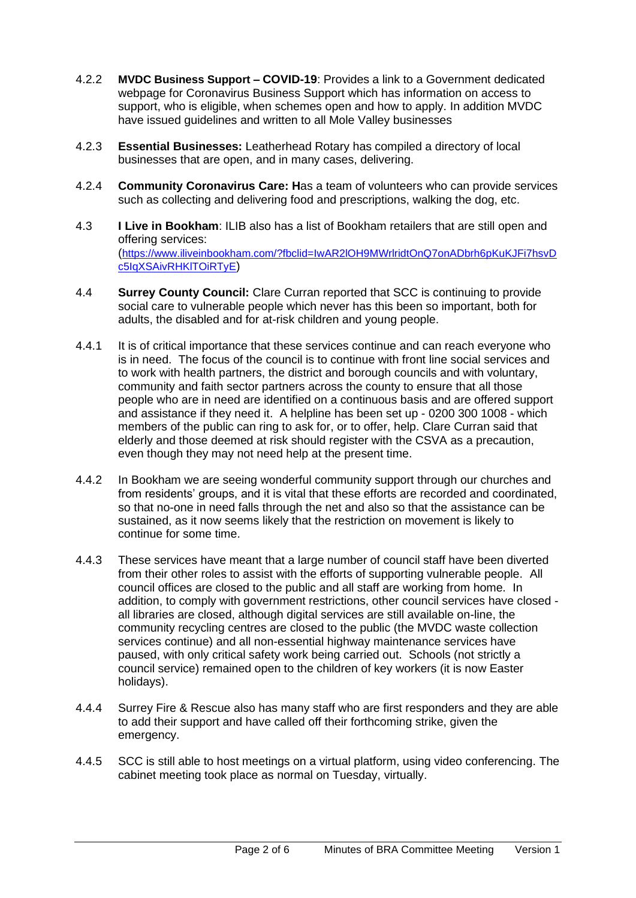- 4.2.2 **MVDC Business Support – COVID-19**: Provides a link to a Government dedicated webpage for Coronavirus Business Support which has information on access to support, who is eligible, when schemes open and how to apply. In addition MVDC have issued guidelines and written to all Mole Valley businesses
- 4.2.3 **Essential Businesses:** Leatherhead Rotary has compiled a directory of local businesses that are open, and in many cases, delivering.
- 4.2.4 **Community Coronavirus Care: H**as a team of volunteers who can provide services such as collecting and delivering food and prescriptions, walking the dog, etc.
- 4.3 **I Live in Bookham**: ILIB also has a list of Bookham retailers that are still open and offering services: ([https://www.iliveinbookham.com/?fbclid=IwAR2lOH9MWrlridtOnQ7onADbrh6pKuKJFi7hsvD](https://www.iliveinbookham.com/?fbclid=IwAR2lOH9MWrlridtOnQ7onADbrh6pKuKJFi7hsvDc5IqXSAivRHKlTOiRTyE) [c5IqXSAivRHKlTOiRTyE](https://www.iliveinbookham.com/?fbclid=IwAR2lOH9MWrlridtOnQ7onADbrh6pKuKJFi7hsvDc5IqXSAivRHKlTOiRTyE))
- 4.4 **Surrey County Council:** Clare Curran reported that SCC is continuing to provide social care to vulnerable people which never has this been so important, both for adults, the disabled and for at-risk children and young people.
- 4.4.1 It is of critical importance that these services continue and can reach everyone who is in need. The focus of the council is to continue with front line social services and to work with health partners, the district and borough councils and with voluntary, community and faith sector partners across the county to ensure that all those people who are in need are identified on a continuous basis and are offered support and assistance if they need it. A helpline has been set up - 0200 300 1008 - which members of the public can ring to ask for, or to offer, help. Clare Curran said that elderly and those deemed at risk should register with the CSVA as a precaution, even though they may not need help at the present time.
- 4.4.2 In Bookham we are seeing wonderful community support through our churches and from residents' groups, and it is vital that these efforts are recorded and coordinated, so that no-one in need falls through the net and also so that the assistance can be sustained, as it now seems likely that the restriction on movement is likely to continue for some time.
- 4.4.3 These services have meant that a large number of council staff have been diverted from their other roles to assist with the efforts of supporting vulnerable people. All council offices are closed to the public and all staff are working from home. In addition, to comply with government restrictions, other council services have closed all libraries are closed, although digital services are still available on-line, the community recycling centres are closed to the public (the MVDC waste collection services continue) and all non-essential highway maintenance services have paused, with only critical safety work being carried out. Schools (not strictly a council service) remained open to the children of key workers (it is now Easter holidays).
- 4.4.4 Surrey Fire & Rescue also has many staff who are first responders and they are able to add their support and have called off their forthcoming strike, given the emergency.
- 4.4.5 SCC is still able to host meetings on a virtual platform, using video conferencing. The cabinet meeting took place as normal on Tuesday, virtually.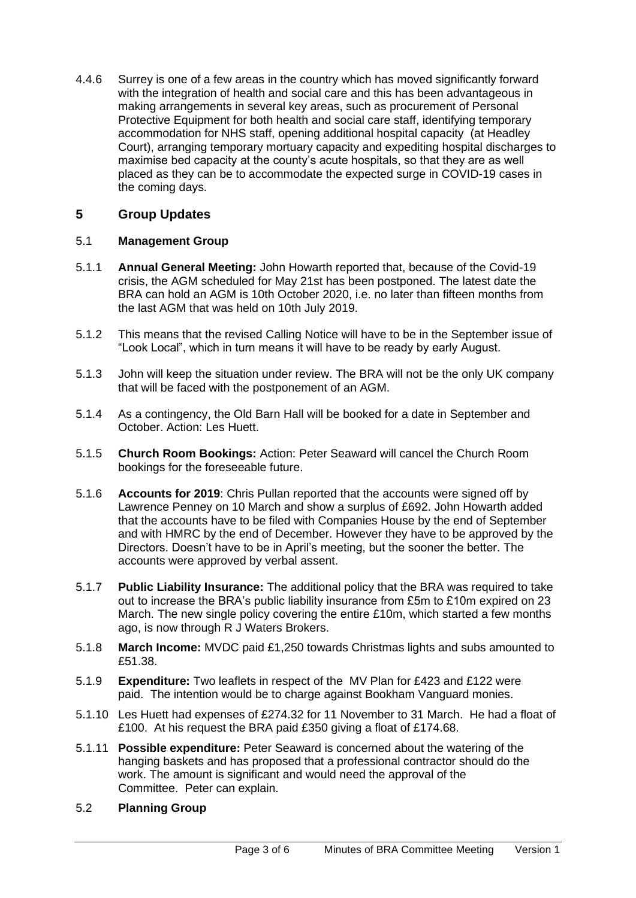4.4.6 Surrey is one of a few areas in the country which has moved significantly forward with the integration of health and social care and this has been advantageous in making arrangements in several key areas, such as procurement of Personal Protective Equipment for both health and social care staff, identifying temporary accommodation for NHS staff, opening additional hospital capacity (at Headley Court), arranging temporary mortuary capacity and expediting hospital discharges to maximise bed capacity at the county's acute hospitals, so that they are as well placed as they can be to accommodate the expected surge in COVID-19 cases in the coming days.

# **5 Group Updates**

# 5.1 **Management Group**

- 5.1.1 **Annual General Meeting:** John Howarth reported that, because of the Covid-19 crisis, the AGM scheduled for May 21st has been postponed. The latest date the BRA can hold an AGM is 10th October 2020, i.e. no later than fifteen months from the last AGM that was held on 10th July 2019.
- 5.1.2 This means that the revised Calling Notice will have to be in the September issue of "Look Local", which in turn means it will have to be ready by early August.
- 5.1.3 John will keep the situation under review. The BRA will not be the only UK company that will be faced with the postponement of an AGM.
- 5.1.4 As a contingency, the Old Barn Hall will be booked for a date in September and October. Action: Les Huett.
- 5.1.5 **Church Room Bookings:** Action: Peter Seaward will cancel the Church Room bookings for the foreseeable future.
- 5.1.6 **Accounts for 2019**: Chris Pullan reported that the accounts were signed off by Lawrence Penney on 10 March and show a surplus of £692. John Howarth added that the accounts have to be filed with Companies House by the end of September and with HMRC by the end of December. However they have to be approved by the Directors. Doesn't have to be in April's meeting, but the sooner the better. The accounts were approved by verbal assent.
- 5.1.7 **Public Liability Insurance:** The additional policy that the BRA was required to take out to increase the BRA's public liability insurance from £5m to £10m expired on 23 March. The new single policy covering the entire £10m, which started a few months ago, is now through R J Waters Brokers.
- 5.1.8 **March Income:** MVDC paid £1,250 towards Christmas lights and subs amounted to £51.38.
- 5.1.9 **Expenditure:** Two leaflets in respect of the MV Plan for £423 and £122 were paid. The intention would be to charge against Bookham Vanguard monies.
- 5.1.10 Les Huett had expenses of £274.32 for 11 November to 31 March. He had a float of £100. At his request the BRA paid £350 giving a float of £174.68.
- 5.1.11 **Possible expenditure:** Peter Seaward is concerned about the watering of the hanging baskets and has proposed that a professional contractor should do the work. The amount is significant and would need the approval of the Committee. Peter can explain.
- 5.2 **Planning Group**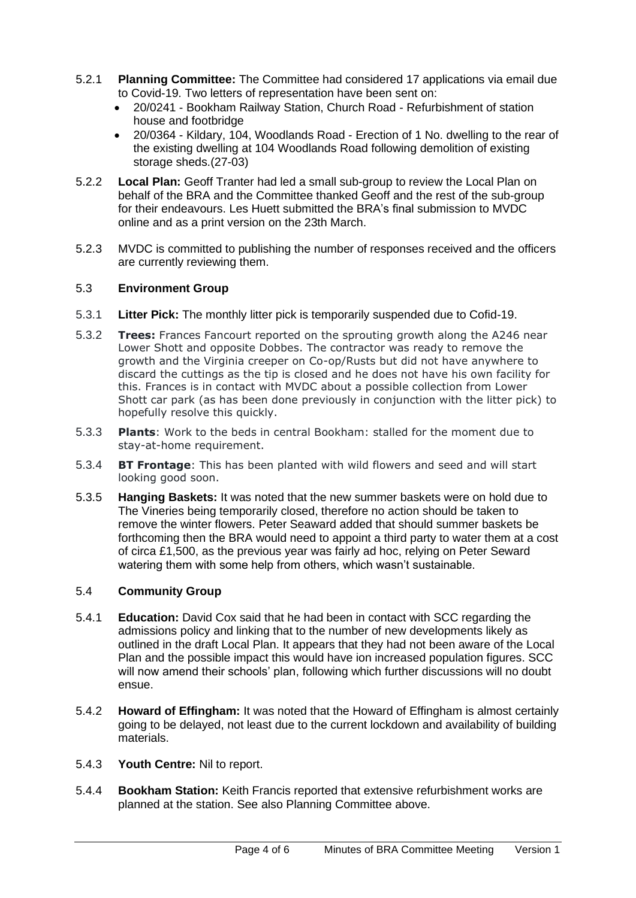- 5.2.1 **Planning Committee:** The Committee had considered 17 applications via email due to Covid-19. Two letters of representation have been sent on:
	- 20/0241 Bookham Railway Station, Church Road Refurbishment of station house and footbridge
	- 20/0364 Kildary, 104, Woodlands Road Erection of 1 No. dwelling to the rear of the existing dwelling at 104 Woodlands Road following demolition of existing storage sheds.(27-03)
- 5.2.2 **Local Plan:** Geoff Tranter had led a small sub-group to review the Local Plan on behalf of the BRA and the Committee thanked Geoff and the rest of the sub-group for their endeavours. Les Huett submitted the BRA's final submission to MVDC online and as a print version on the 23th March.
- 5.2.3 MVDC is committed to publishing the number of responses received and the officers are currently reviewing them.

# 5.3 **Environment Group**

- 5.3.1 **Litter Pick:** The monthly litter pick is temporarily suspended due to Cofid-19.
- 5.3.2 **Trees:** Frances Fancourt reported on the sprouting growth along the A246 near Lower Shott and opposite Dobbes. The contractor was ready to remove the growth and the Virginia creeper on Co-op/Rusts but did not have anywhere to discard the cuttings as the tip is closed and he does not have his own facility for this. Frances is in contact with MVDC about a possible collection from Lower Shott car park (as has been done previously in conjunction with the litter pick) to hopefully resolve this quickly.
- 5.3.3 **Plants**: Work to the beds in central Bookham: stalled for the moment due to stay-at-home requirement.
- 5.3.4 **BT Frontage**: This has been planted with wild flowers and seed and will start looking good soon.
- 5.3.5 **Hanging Baskets:** It was noted that the new summer baskets were on hold due to The Vineries being temporarily closed, therefore no action should be taken to remove the winter flowers. Peter Seaward added that should summer baskets be forthcoming then the BRA would need to appoint a third party to water them at a cost of circa £1,500, as the previous year was fairly ad hoc, relying on Peter Seward watering them with some help from others, which wasn't sustainable.

## 5.4 **Community Group**

- 5.4.1 **Education:** David Cox said that he had been in contact with SCC regarding the admissions policy and linking that to the number of new developments likely as outlined in the draft Local Plan. It appears that they had not been aware of the Local Plan and the possible impact this would have ion increased population figures. SCC will now amend their schools' plan, following which further discussions will no doubt ensue.
- 5.4.2 **Howard of Effingham:** It was noted that the Howard of Effingham is almost certainly going to be delayed, not least due to the current lockdown and availability of building materials.
- 5.4.3 **Youth Centre:** Nil to report.
- 5.4.4 **Bookham Station:** Keith Francis reported that extensive refurbishment works are planned at the station. See also Planning Committee above.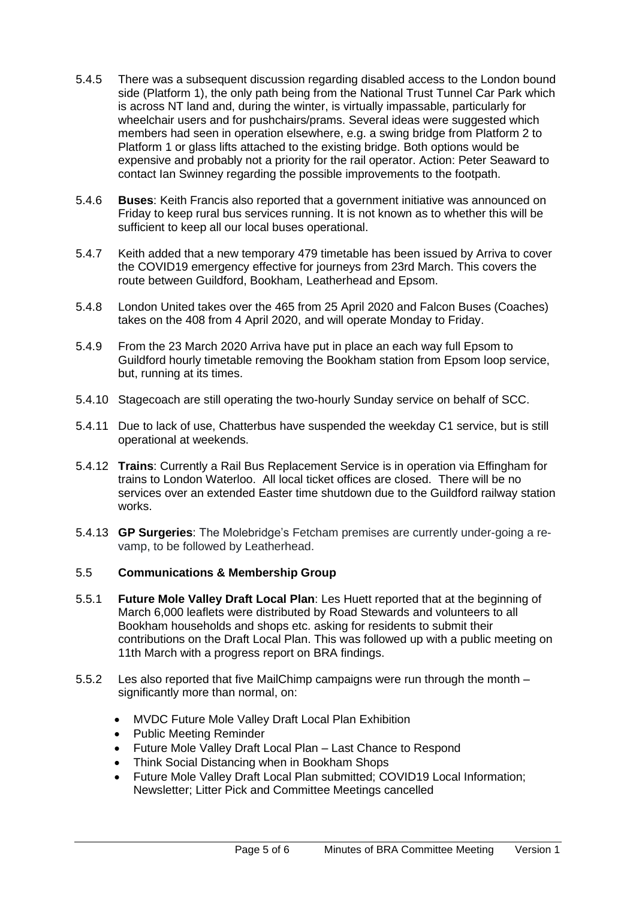- 5.4.5 There was a subsequent discussion regarding disabled access to the London bound side (Platform 1), the only path being from the National Trust Tunnel Car Park which is across NT land and, during the winter, is virtually impassable, particularly for wheelchair users and for pushchairs/prams. Several ideas were suggested which members had seen in operation elsewhere, e.g. a swing bridge from Platform 2 to Platform 1 or glass lifts attached to the existing bridge. Both options would be expensive and probably not a priority for the rail operator. Action: Peter Seaward to contact Ian Swinney regarding the possible improvements to the footpath.
- 5.4.6 **Buses**: Keith Francis also reported that a government initiative was announced on Friday to keep rural bus services running. It is not known as to whether this will be sufficient to keep all our local buses operational.
- 5.4.7 Keith added that a new temporary 479 timetable has been issued by Arriva to cover the COVID19 emergency effective for journeys from 23rd March. This covers the route between Guildford, Bookham, Leatherhead and Epsom.
- 5.4.8 London United takes over the 465 from 25 April 2020 and Falcon Buses (Coaches) takes on the 408 from 4 April 2020, and will operate Monday to Friday.
- 5.4.9 From the 23 March 2020 Arriva have put in place an each way full Epsom to Guildford hourly timetable removing the Bookham station from Epsom loop service, but, running at its times.
- 5.4.10 Stagecoach are still operating the two-hourly Sunday service on behalf of SCC.
- 5.4.11 Due to lack of use, Chatterbus have suspended the weekday C1 service, but is still operational at weekends.
- 5.4.12 **Trains**: Currently a Rail Bus Replacement Service is in operation via Effingham for trains to London Waterloo. All local ticket offices are closed. There will be no services over an extended Easter time shutdown due to the Guildford railway station works.
- 5.4.13 **GP Surgeries**: The Molebridge's Fetcham premises are currently under-going a revamp, to be followed by Leatherhead.

## 5.5 **Communications & Membership Group**

- 5.5.1 **Future Mole Valley Draft Local Plan**: Les Huett reported that at the beginning of March 6,000 leaflets were distributed by Road Stewards and volunteers to all Bookham households and shops etc. asking for residents to submit their contributions on the Draft Local Plan. This was followed up with a public meeting on 11th March with a progress report on BRA findings.
- 5.5.2 Les also reported that five MailChimp campaigns were run through the month significantly more than normal, on:
	- MVDC Future Mole Valley Draft Local Plan Exhibition
	- Public Meeting Reminder
	- Future Mole Valley Draft Local Plan Last Chance to Respond
	- Think Social Distancing when in Bookham Shops
	- Future Mole Valley Draft Local Plan submitted; COVID19 Local Information; Newsletter; Litter Pick and Committee Meetings cancelled